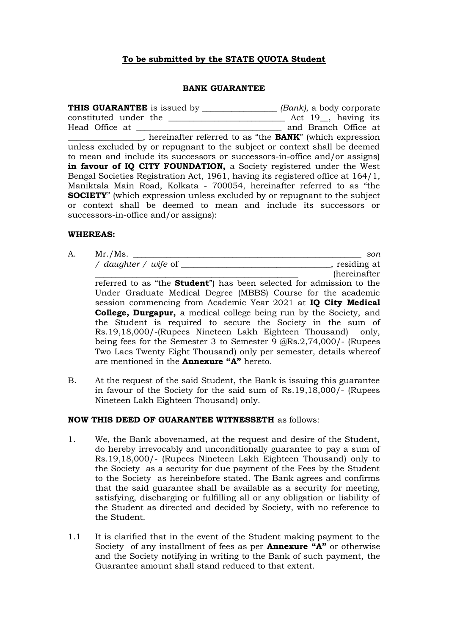## **To be submitted by the STATE QUOTA Student**

#### **BANK GUARANTEE**

**THIS GUARANTEE** is issued by \_\_\_\_\_\_\_\_\_\_\_\_\_\_\_\_\_\_ *(Bank)*, a body corporate constituted under the \_\_\_\_\_\_\_\_\_\_\_\_\_\_\_\_\_\_\_\_\_\_\_\_\_\_\_\_ Act 19\_\_, having its Head Office at \_\_\_\_\_\_\_\_\_\_\_\_\_\_\_\_\_\_\_\_\_\_\_\_\_\_\_\_\_\_\_\_\_\_\_ and Branch Office at \_\_\_\_\_\_\_\_\_\_\_\_\_\_\_\_\_\_, hereinafter referred to as "the **BANK**" (which expression unless excluded by or repugnant to the subject or context shall be deemed to mean and include its successors or successors-in-office and/or assigns) in favour of IQ CITY FOUNDATION, a Society registered under the West Bengal Societies Registration Act, 1961, having its registered office at 164/1, Maniktala Main Road, Kolkata - 700054, hereinafter referred to as "the **SOCIETY**" (which expression unless excluded by or repugnant to the subject or context shall be deemed to mean and include its successors or successors-in-office and/or assigns):

#### **WHEREAS:**

A. Mr./Ms. \_\_\_\_\_\_\_\_\_\_\_\_\_\_\_\_\_\_\_\_\_\_\_\_\_\_\_\_\_\_\_\_\_\_\_\_\_\_\_\_\_\_\_\_\_\_\_\_\_\_\_\_\_\_\_ *son / daughter / wife* of \_\_\_\_\_\_\_\_\_\_\_\_\_\_\_\_\_\_\_\_\_\_\_\_\_\_\_\_\_\_\_\_\_\_\_\_, residing at

\_\_\_\_\_\_\_\_\_\_\_\_\_\_\_\_\_\_\_\_\_\_\_\_\_\_\_\_\_\_\_\_\_\_\_\_\_\_\_\_\_\_\_\_\_\_\_\_\_ (hereinafter referred to as "the **Student**") has been selected for admission to the Under Graduate Medical Degree (MBBS) Course for the academic session commencing from Academic Year 2021 at **IQ City Medical College, Durgapur,** a medical college being run by the Society, and the Student is required to secure the Society in the sum of Rs.19,18,000/-(Rupees Nineteen Lakh Eighteen Thousand) only, being fees for the Semester 3 to Semester 9 @Rs.2,74,000/- (Rupees Two Lacs Twenty Eight Thousand) only per semester, details whereof are mentioned in the **Annexure "A"** hereto.

B. At the request of the said Student, the Bank is issuing this guarantee in favour of the Society for the said sum of Rs.19,18,000/- (Rupees Nineteen Lakh Eighteen Thousand) only.

### **NOW THIS DEED OF GUARANTEE WITNESSETH** as follows:

- 1. We, the Bank abovenamed, at the request and desire of the Student, do hereby irrevocably and unconditionally guarantee to pay a sum of Rs.19,18,000/- (Rupees Nineteen Lakh Eighteen Thousand) only to the Society as a security for due payment of the Fees by the Student to the Society as hereinbefore stated. The Bank agrees and confirms that the said guarantee shall be available as a security for meeting, satisfying, discharging or fulfilling all or any obligation or liability of the Student as directed and decided by Society, with no reference to the Student.
- 1.1 It is clarified that in the event of the Student making payment to the Society of any installment of fees as per **Annexure "A"** or otherwise and the Society notifying in writing to the Bank of such payment, the Guarantee amount shall stand reduced to that extent.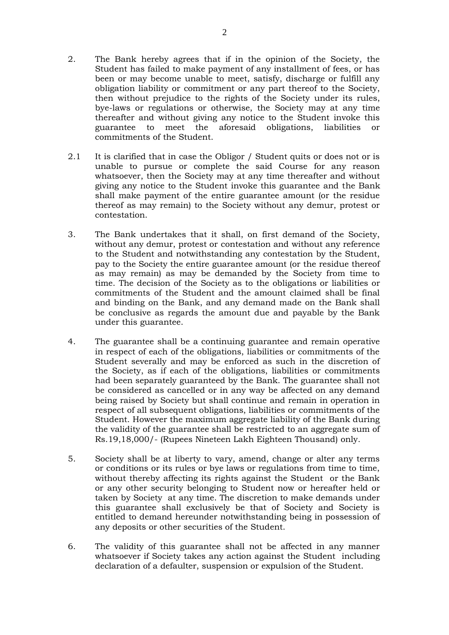- 2. The Bank hereby agrees that if in the opinion of the Society, the Student has failed to make payment of any installment of fees, or has been or may become unable to meet, satisfy, discharge or fulfill any obligation liability or commitment or any part thereof to the Society, then without prejudice to the rights of the Society under its rules, bye-laws or regulations or otherwise, the Society may at any time thereafter and without giving any notice to the Student invoke this guarantee to meet the aforesaid obligations, liabilities or commitments of the Student.
- 2.1 It is clarified that in case the Obligor / Student quits or does not or is unable to pursue or complete the said Course for any reason whatsoever, then the Society may at any time thereafter and without giving any notice to the Student invoke this guarantee and the Bank shall make payment of the entire guarantee amount (or the residue thereof as may remain) to the Society without any demur, protest or contestation.
- 3. The Bank undertakes that it shall, on first demand of the Society, without any demur, protest or contestation and without any reference to the Student and notwithstanding any contestation by the Student, pay to the Society the entire guarantee amount (or the residue thereof as may remain) as may be demanded by the Society from time to time. The decision of the Society as to the obligations or liabilities or commitments of the Student and the amount claimed shall be final and binding on the Bank, and any demand made on the Bank shall be conclusive as regards the amount due and payable by the Bank under this guarantee.
- 4. The guarantee shall be a continuing guarantee and remain operative in respect of each of the obligations, liabilities or commitments of the Student severally and may be enforced as such in the discretion of the Society, as if each of the obligations, liabilities or commitments had been separately guaranteed by the Bank. The guarantee shall not be considered as cancelled or in any way be affected on any demand being raised by Society but shall continue and remain in operation in respect of all subsequent obligations, liabilities or commitments of the Student. However the maximum aggregate liability of the Bank during the validity of the guarantee shall be restricted to an aggregate sum of Rs.19,18,000/- (Rupees Nineteen Lakh Eighteen Thousand) only.
- 5. Society shall be at liberty to vary, amend, change or alter any terms or conditions or its rules or bye laws or regulations from time to time, without thereby affecting its rights against the Student or the Bank or any other security belonging to Student now or hereafter held or taken by Society at any time. The discretion to make demands under this guarantee shall exclusively be that of Society and Society is entitled to demand hereunder notwithstanding being in possession of any deposits or other securities of the Student.
- 6. The validity of this guarantee shall not be affected in any manner whatsoever if Society takes any action against the Student including declaration of a defaulter, suspension or expulsion of the Student.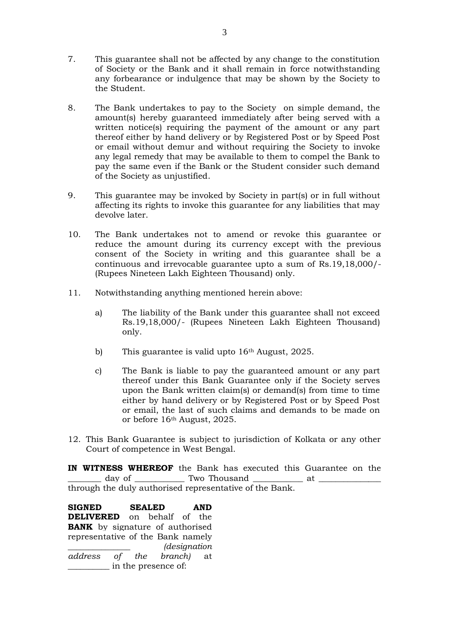- 7. This guarantee shall not be affected by any change to the constitution of Society or the Bank and it shall remain in force notwithstanding any forbearance or indulgence that may be shown by the Society to the Student.
- 8. The Bank undertakes to pay to the Society on simple demand, the amount(s) hereby guaranteed immediately after being served with a written notice(s) requiring the payment of the amount or any part thereof either by hand delivery or by Registered Post or by Speed Post or email without demur and without requiring the Society to invoke any legal remedy that may be available to them to compel the Bank to pay the same even if the Bank or the Student consider such demand of the Society as unjustified.
- 9. This guarantee may be invoked by Society in part(s) or in full without affecting its rights to invoke this guarantee for any liabilities that may devolve later.
- 10. The Bank undertakes not to amend or revoke this guarantee or reduce the amount during its currency except with the previous consent of the Society in writing and this guarantee shall be a continuous and irrevocable guarantee upto a sum of Rs.19,18,000/- (Rupees Nineteen Lakh Eighteen Thousand) only.
- 11. Notwithstanding anything mentioned herein above:
	- a) The liability of the Bank under this guarantee shall not exceed Rs.19,18,000/- (Rupees Nineteen Lakh Eighteen Thousand) only.
	- b) This guarantee is valid upto 16<sup>th</sup> August, 2025.
	- c) The Bank is liable to pay the guaranteed amount or any part thereof under this Bank Guarantee only if the Society serves upon the Bank written claim(s) or demand(s) from time to time either by hand delivery or by Registered Post or by Speed Post or email, the last of such claims and demands to be made on or before 16th August, 2025.
- 12. This Bank Guarantee is subject to jurisdiction of Kolkata or any other Court of competence in West Bengal.

**IN WITNESS WHEREOF** the Bank has executed this Guarantee on the \_\_\_\_\_\_\_\_ day of \_\_\_\_\_\_\_\_\_\_\_\_ Two Thousand \_\_\_\_\_\_\_\_\_\_\_\_ at \_\_\_\_\_\_\_\_\_\_\_\_\_\_\_ through the duly authorised representative of the Bank.

**SIGNED SEALED AND DELIVERED** on behalf of the **BANK** by signature of authorised representative of the Bank namely \_\_\_\_\_\_\_\_\_\_\_\_\_\_\_ *(designation address of the branch)* at \_\_\_\_\_\_\_\_\_\_ in the presence of: